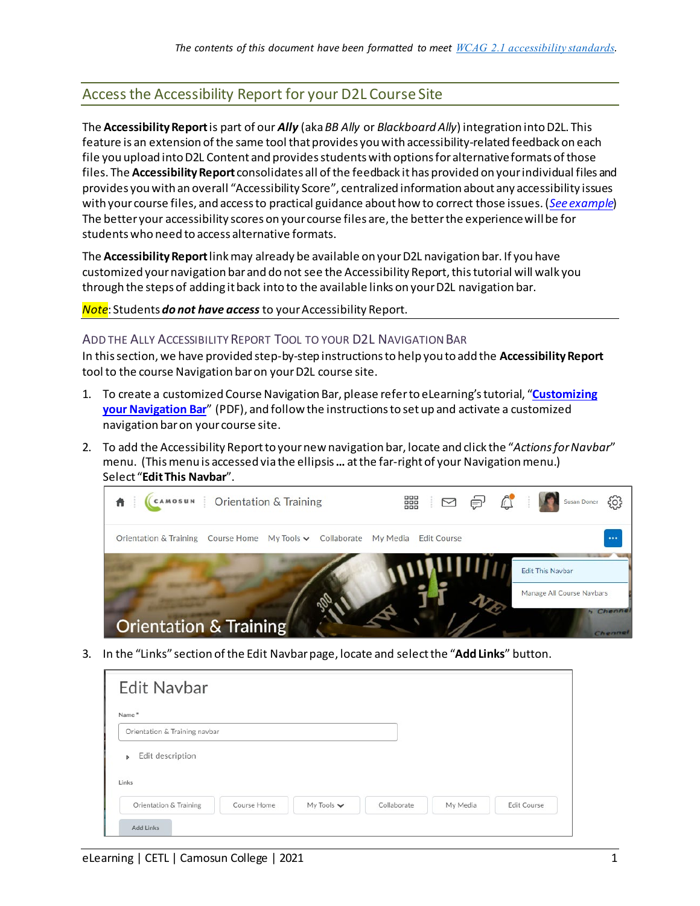## Access the Accessibility Report for your D2L Course Site

The **Accessibility Report**is part of our *Ally* (aka *BB Ally* or *Blackboard Ally*) integration into D2L. This feature is an extension of the same tool that provides you with accessibility-related feedback on each file you upload into D2L Content and provides students with options for alternative formats of those files. The **Accessibility Report** consolidates all of the feedback it has provided on your individual files and provides you with an overall "Accessibility Score", centralized information about any accessibility issues with your course files, and access to practical guidance about how to correct those issues. (*[See example](#page-1-0)*) The better your accessibility scores on your course files are, the better the experience will be for students who need to access alternative formats.

The **Accessibility Report**link may already be available on your D2L navigation bar. If you have customized your navigation bar and do not see the Accessibility Report, this tutorial will walk you through the steps of adding it back into to the available links on your D2L navigation bar.

*Note*: Students *do not have access* to your Accessibility Report.

## ADD THE ALLY ACCESSIBILITY REPORT TOOL TO YOUR D2L NAVIGATION BAR

In this section, we have provided step-by-step instructions to help you to add the **Accessibility Report** tool to the course Navigation baron your D2L course site.

- 1. To create a customized Course Navigation Bar, please refer to eLearning's tutorial, "**[Customizing](https://elearningtutorialscamosun.opened.ca/wp-content/uploads/sites/1304/2020/03/CustomizeNavbar-Jan2020.pdf)  [your Navigation Bar](https://elearningtutorialscamosun.opened.ca/wp-content/uploads/sites/1304/2020/03/CustomizeNavbar-Jan2020.pdf)**" (PDF), and follow the instructions to set up and activate a customized navigation bar on your course site.
- 2. To add the Accessibility Report to your new navigation bar, locate and click the "*Actions for Navbar*" menu. (This menu is accessed via the ellipsis **…** at the far-right of your Navigation menu.) Select "**Edit This Navbar**".



3. In the "Links" section of the Edit Navbar page, locate and select the "**Add Links**" button.

| Edit Navbar                                               |  |  |  |  |
|-----------------------------------------------------------|--|--|--|--|
| Name*                                                     |  |  |  |  |
| Orientation & Training navbar                             |  |  |  |  |
| Edit description<br>$\mathbf{b}$<br><b>STORY</b><br>Links |  |  |  |  |
|                                                           |  |  |  |  |